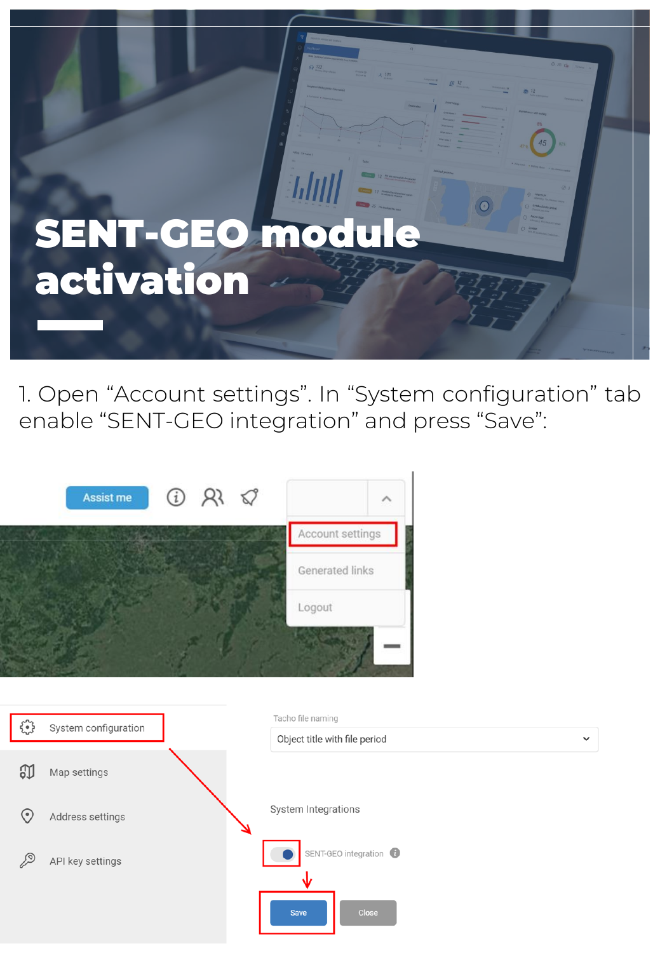

1. Open "Account settings". In "System configuration" tab enable "SENT-GEO integration" and press "Save":



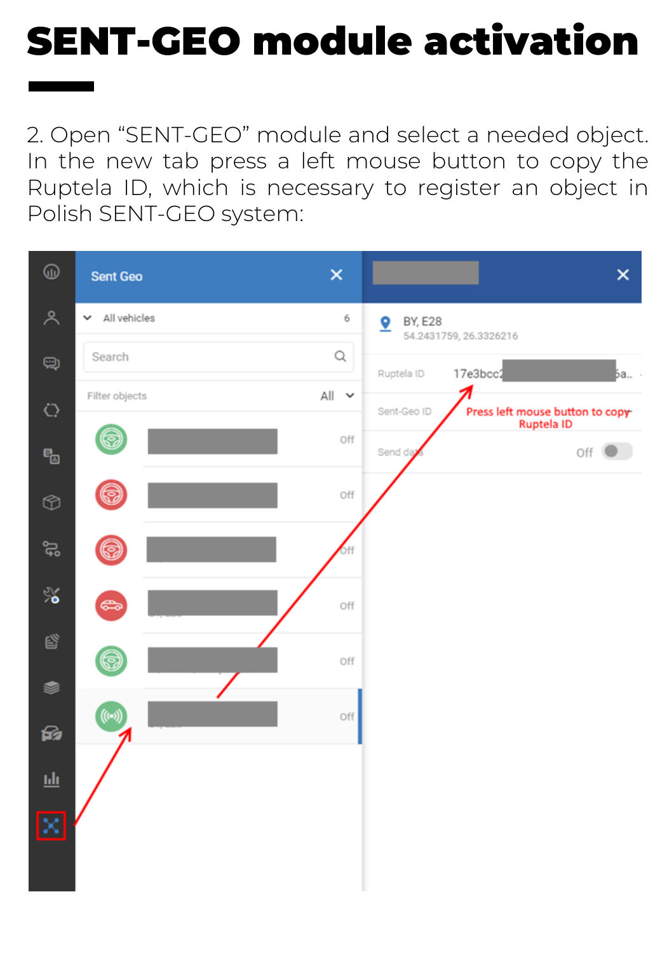2. Open "SENT-GEO" module and select a needed object. In the new tab press a left mouse button to copy the Ruptela ID, which is necessary to register an object in Polish SENT-GEO system:

| ⊕           | Sent Geo                     | $\times$                 | $\times$                                                      |
|-------------|------------------------------|--------------------------|---------------------------------------------------------------|
| ዶ           | All vehicles<br>$\checkmark$ | 6                        | BY, E28<br>≗<br>54.2431759, 26.3326216                        |
| Q           | Search                       | $\hbox{\large $\alpha$}$ | 17e3bcc2<br>Ruptela ID<br>ба ·                                |
| $\circ$     | Filter objects               | All v                    | Sent-Geo ID<br>Press left mouse button to copy-<br>Ruptela ID |
| ę,          | 6                            | Off                      | Send da<br>Off (                                              |
| $^{\circ}$  | 0                            | Off                      |                                                               |
| ಜ           | 6                            | 6 <sub>ff</sub>          |                                                               |
| %∕          | G                            | Off                      |                                                               |
| ď           | 6                            | Off                      |                                                               |
| ⊜<br>জি     | $\big($ ((e))                | Off                      |                                                               |
| 匝           |                              |                          |                                                               |
| $\boxtimes$ |                              |                          |                                                               |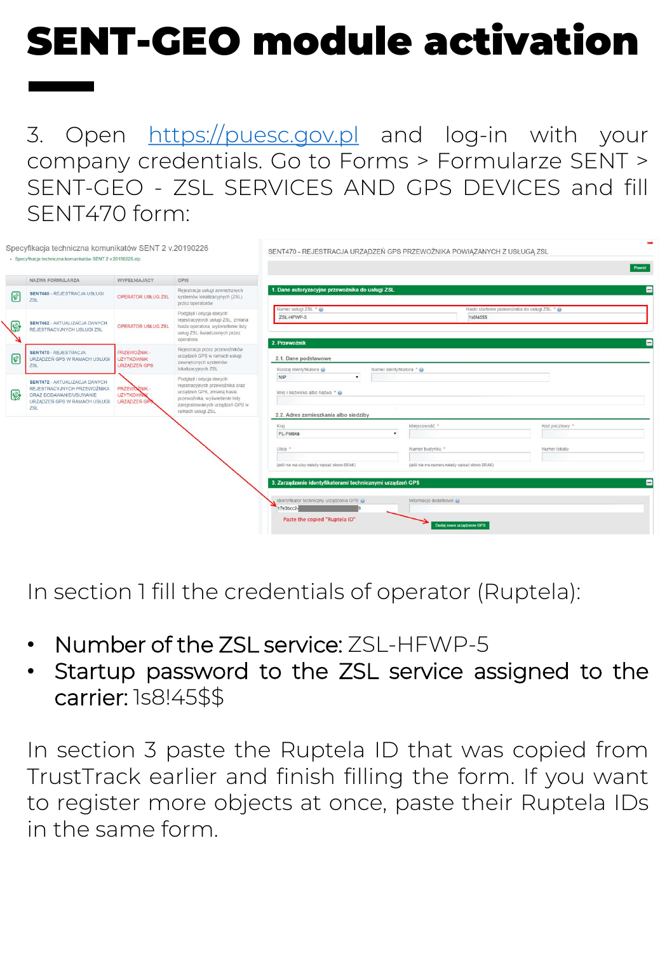#### 3. Open [https://puesc.gov.pl](https://puesc.gov.pl/) and log-in with your company credentials. Go to Forms > Formularze SENT > SENT-GEO - ZSL SERVICES AND GPS DEVICES and fill SENT470 form:

|                | Specyfikacja techniczna komunikatów SENT 2 v.20190226<br>· Specyfikacja techniczna komunikatów SENT 2 v.20190226.zip           |                                                   |                                                                                                                                                                                      | SENT470 - REJESTRACJA URZĄDZEŃ GPS PRZEWOŹNIKA POWIĄZANYCH Z USŁUGĄ ZSL             |                                                |                                                            | Powrót |
|----------------|--------------------------------------------------------------------------------------------------------------------------------|---------------------------------------------------|--------------------------------------------------------------------------------------------------------------------------------------------------------------------------------------|-------------------------------------------------------------------------------------|------------------------------------------------|------------------------------------------------------------|--------|
|                | NAZWA FORMULARZA                                                                                                               | WYPEŁNIAJĄCY                                      | OPIS                                                                                                                                                                                 |                                                                                     |                                                |                                                            |        |
| $\overline{c}$ | <b>SENT460 - REJESTRACJA USŁUGI</b><br>ZSL                                                                                     | <b>OPERATOR USŁUG ZSL</b>                         | Rejestracja usługi zewnetrznych<br>systemów lokalizacyjnych (ZSL)<br>przez operatorów                                                                                                | 1. Dane autoryzacyjne przewoźnika do usługi ZSL                                     |                                                |                                                            | E      |
|                | SENT462 - AKTUALIZACJA DANYCH<br>REJESTRACYJNYCH USŁUGI ZSL                                                                    | OPERATOR USŁUG ZSL                                | Podgląd i edycja danych<br>rejestracyjnych usługi ZSL, zmiana<br>hasła operatora, wyświetlenie listy<br>usług ZSL świadczonych przez<br>operatora                                    | Numer usługi ZSL * @<br>ZSL-HFWP-5                                                  |                                                | Hasło startowe przewoźnika do usługi ZSL * @<br>1s8145\$\$ |        |
| $\overline{c}$ | <b>SENT470 - REJESTRACJA</b><br>URZADZEŃ GPS W RAMACH USŁUGI<br><b>ZSL</b>                                                     | PRZEWOŹNIK -<br><b>UŽYTKOWNIK</b><br>URZĄDZEŃ GPS | Rejestracja przez przewoźników<br>urządzeń GPS w ramach usługi<br>zewnetrznych systemów<br>lokalizacyjnych ZSL                                                                       | 2. Przewożnik<br>2.1. Dane podstawowe<br>Rodzaj identyfikatora                      | Numer identyfikatora * @                       |                                                            | -      |
| $\mathbb{Q}$   | SENT472 - AKTUALIZACJA DANYCH<br>REJESTRACYJNYCH PRZEWOŻNIKA<br>ORAZ DODAWANIE/USUWANIE<br>URZADZEŃ GPS W RAMACH USŁUGI<br>ZSL | PRZEWOŻNIK<br><b>UZYTKOWN</b><br>URZĄDZEŃ GP      | Podglad i edycja danych<br>rejestracyjnych przewoźnika oraz<br>urządzeń GPS, zmianą hasła<br>przewoźnika, wyświetlenie listy<br>zarejestrowanych urządzeń GPS w<br>ramach usługi ZSL | NIP<br>٠<br>Imie i nazwisko albo nazwa * @<br>2.2. Adres zamieszkania albo siedziby |                                                |                                                            |        |
|                |                                                                                                                                |                                                   |                                                                                                                                                                                      | Kraj<br>PL-Polska                                                                   | Miejscowość ·<br>$\mathbf{r}$                  | Kod pocztowy ·                                             |        |
|                |                                                                                                                                |                                                   |                                                                                                                                                                                      | Ulica *                                                                             | Numer budynku *                                | Numer lokalu                                               |        |
|                |                                                                                                                                |                                                   |                                                                                                                                                                                      | (ješli nie ma ulicy należy wpisać słowo BRAK)                                       | (jeśli nie ma numeru należy wpisać słowo BRAK) |                                                            |        |
|                |                                                                                                                                |                                                   |                                                                                                                                                                                      | 3. Zarządzanie identyfikatorami technicznymi urządzeń GPS                           |                                                |                                                            | Ξ      |
|                |                                                                                                                                |                                                   |                                                                                                                                                                                      | Identyfikator techniczny urządzenia GPS @<br>17e3bcc2-                              | Informacje dodatkowe                           |                                                            |        |
|                |                                                                                                                                |                                                   |                                                                                                                                                                                      | Paste the copied "Ruptela ID"                                                       |                                                | Dodaj nowe urządzenie GPS                                  |        |

In section 1 fill the credentials of operator (Ruptela):

- Number of the ZSL service: ZSL-HFWP-5
- Startup password to the ZSL service assigned to the carrier: 1s8!45\$\$

TrustTrack earlier and finish filling the form. If you want at once naste their Duntela ID support to a property to activity the top asking the set of the set of the set of the set of the set of the set of the set of the set of the set of the set of the set of the set of the set of the set of the set of the set In section 3 paste the Ruptela ID that was copied from to register more objects at once, paste their Ruptela IDs in the same form.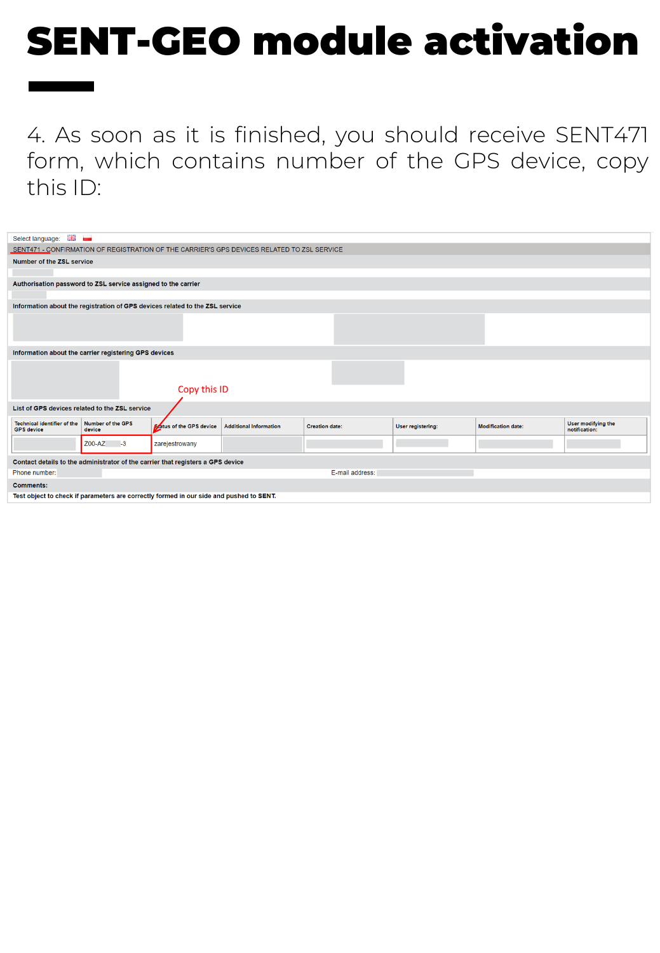4. As soon as it is finished, you should receive SENT471 form, which contains number of the GPS device, copy this ID:

| Select language: Ha                                                                     |                                                               |                                                                              |                                                                                            |                       |                   |                           |                                     |
|-----------------------------------------------------------------------------------------|---------------------------------------------------------------|------------------------------------------------------------------------------|--------------------------------------------------------------------------------------------|-----------------------|-------------------|---------------------------|-------------------------------------|
|                                                                                         |                                                               |                                                                              | SENT471 - CONFIRMATION OF REGISTRATION OF THE CARRIER'S GPS DEVICES RELATED TO ZSL SERVICE |                       |                   |                           |                                     |
| <b>Number of the ZSL service</b>                                                        |                                                               |                                                                              |                                                                                            |                       |                   |                           |                                     |
|                                                                                         |                                                               |                                                                              |                                                                                            |                       |                   |                           |                                     |
|                                                                                         | Authorisation password to ZSL service assigned to the carrier |                                                                              |                                                                                            |                       |                   |                           |                                     |
|                                                                                         |                                                               |                                                                              |                                                                                            |                       |                   |                           |                                     |
|                                                                                         |                                                               | Information about the registration of GPS devices related to the ZSL service |                                                                                            |                       |                   |                           |                                     |
|                                                                                         |                                                               |                                                                              |                                                                                            |                       |                   |                           |                                     |
|                                                                                         |                                                               |                                                                              |                                                                                            |                       |                   |                           |                                     |
|                                                                                         |                                                               |                                                                              |                                                                                            |                       |                   |                           |                                     |
| Information about the carrier registering GPS devices                                   |                                                               |                                                                              |                                                                                            |                       |                   |                           |                                     |
|                                                                                         |                                                               |                                                                              |                                                                                            |                       |                   |                           |                                     |
|                                                                                         |                                                               |                                                                              |                                                                                            |                       |                   |                           |                                     |
|                                                                                         |                                                               | Copy this ID                                                                 |                                                                                            |                       |                   |                           |                                     |
|                                                                                         |                                                               |                                                                              |                                                                                            |                       |                   |                           |                                     |
| List of GPS devices related to the ZSL service                                          |                                                               |                                                                              |                                                                                            |                       |                   |                           |                                     |
| <b>Technical identifier of the</b><br><b>GPS</b> device                                 | <b>Number of the GPS</b><br>device                            | <b>Status of the GPS device</b>                                              | <b>Additional Information</b>                                                              | <b>Creation date:</b> | User registering: | <b>Modification date:</b> | User modifying the<br>notification: |
|                                                                                         | Z00-AZ<br>$-3$                                                | zarejestrowany                                                               |                                                                                            |                       |                   |                           |                                     |
| Contact details to the administrator of the carrier that registers a GPS device         |                                                               |                                                                              |                                                                                            |                       |                   |                           |                                     |
| Phone number:                                                                           |                                                               |                                                                              |                                                                                            | E-mail address:       |                   |                           |                                     |
| <b>Comments:</b>                                                                        |                                                               |                                                                              |                                                                                            |                       |                   |                           |                                     |
| Test object to check if parameters are correctly formed in our side and pushed to SENT. |                                                               |                                                                              |                                                                                            |                       |                   |                           |                                     |
|                                                                                         |                                                               |                                                                              |                                                                                            |                       |                   |                           |                                     |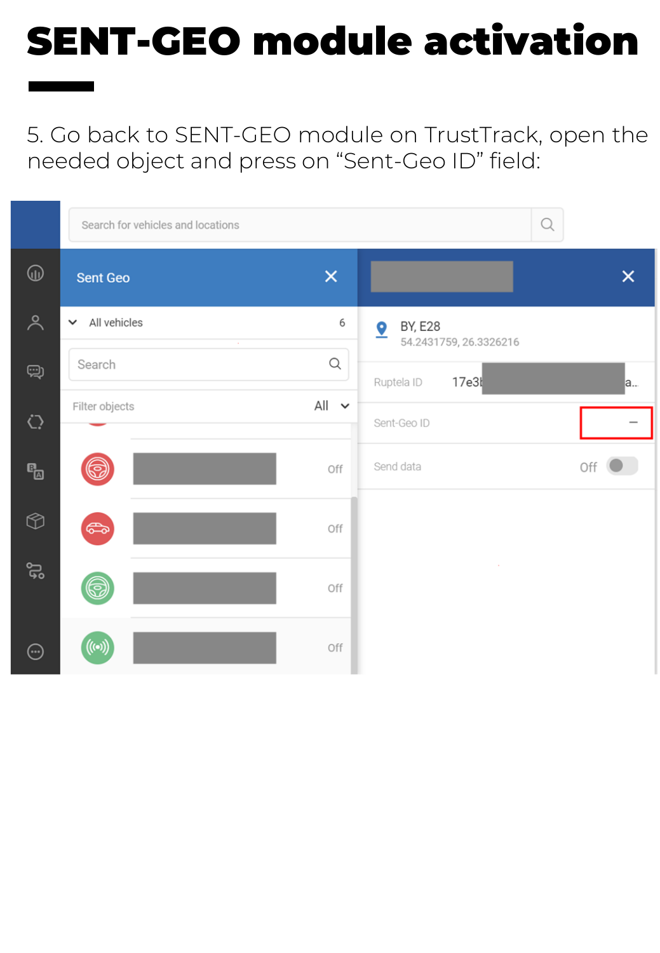5. Go back to SENT-GEO module on TrustTrack, open the needed object and press on "Sent-Geo ID" field:

|                         | Search for vehicles and locations    |            |                                               | Q        |
|-------------------------|--------------------------------------|------------|-----------------------------------------------|----------|
| $^{\circledR}$          | <b>Sent Geo</b>                      | $\times$   |                                               | $\times$ |
| $\lambda$               | $\vee$ All vehicles<br>$\mathcal{A}$ | 6          | <b>BY, E28</b><br>9<br>54.2431759, 26.3326216 |          |
| ම                       | Search                               | Q          | 17e3l<br>Ruptela ID                           | la       |
| $\bigcirc$              | Filter objects                       | $All \sim$ | Sent-Geo ID                                   |          |
| $\mathbf{e}_{\boxplus}$ | ဂ္ဂ                                  | Off        | Send data                                     | Off      |
| $\circledcirc$          | G                                    | Off        |                                               |          |
| ್ಲ                      | G                                    | Off        | $\sim$                                        |          |
| $\odot$                 | $((\bullet))$                        | Off        |                                               |          |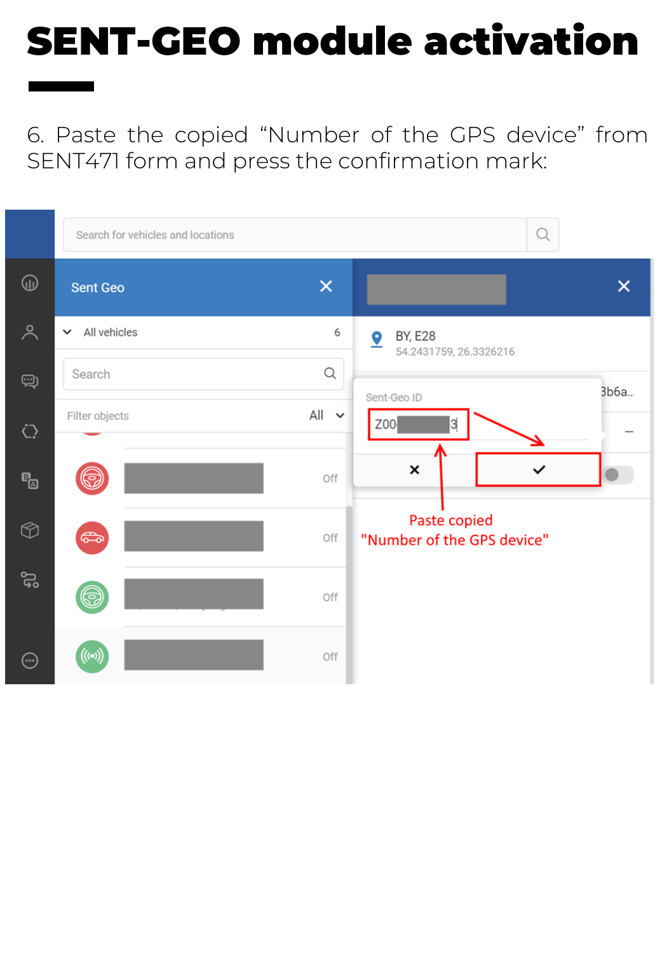6. Paste the copied "Number of the GPS device" from SENT471 form and press the confirmation mark:

|                                           | Search for vehicles and locations |            | Q                                             |
|-------------------------------------------|-----------------------------------|------------|-----------------------------------------------|
| $\textcircled{\scriptsize{1}}$            | <b>Sent Geo</b>                   | $\times$   | $\times$                                      |
| $\lambda$                                 | All vehicles<br>$\checkmark$      | 6          | <b>BY, E28</b><br>9<br>54.2431759, 26.3326216 |
| Q)                                        | Search                            | Q          | 3b6a                                          |
| $\bigcirc$                                | Filter objects                    | $All \sim$ | Sent-Geo ID<br>Z00<br>3                       |
| $\mathbf{e}_{\!\!\scriptscriptstyle\Box}$ | <b>So</b>                         | Off        | ×                                             |
| $\circledcirc$                            | $\bigoplus$                       | Off        | Paste copied<br>"Number of the GPS device"    |
| ಜ                                         | 6                                 | Off        |                                               |
| $\odot$                                   | $((\bullet))$                     | Off        |                                               |